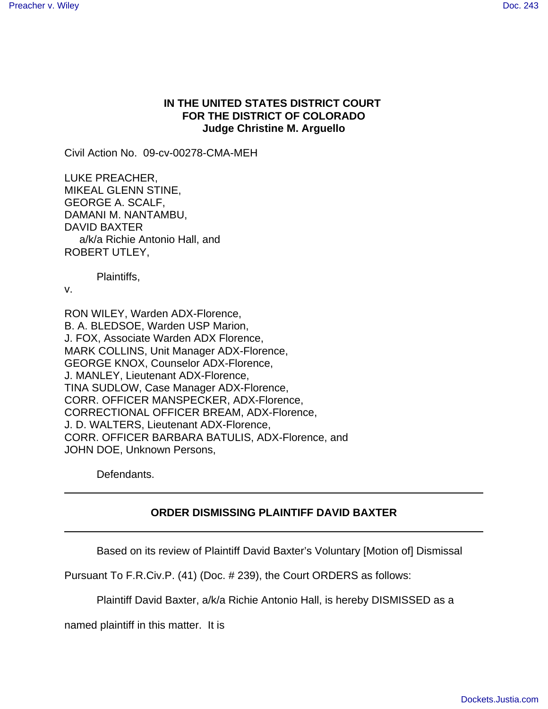## **IN THE UNITED STATES DISTRICT COURT FOR THE DISTRICT OF COLORADO Judge Christine M. Arguello**

Civil Action No. 09-cv-00278-CMA-MEH

LUKE PREACHER, MIKEAL GLENN STINE, GEORGE A. SCALF, DAMANI M. NANTAMBU, DAVID BAXTER a/k/a Richie Antonio Hall, and ROBERT UTLEY,

Plaintiffs,

v.

RON WILEY, Warden ADX-Florence, B. A. BLEDSOE, Warden USP Marion, J. FOX, Associate Warden ADX Florence, MARK COLLINS, Unit Manager ADX-Florence, GEORGE KNOX, Counselor ADX-Florence, J. MANLEY, Lieutenant ADX-Florence, TINA SUDLOW, Case Manager ADX-Florence, CORR. OFFICER MANSPECKER, ADX-Florence, CORRECTIONAL OFFICER BREAM, ADX-Florence, J. D. WALTERS, Lieutenant ADX-Florence, CORR. OFFICER BARBARA BATULIS, ADX-Florence, and JOHN DOE, Unknown Persons,

Defendants.

## **ORDER DISMISSING PLAINTIFF DAVID BAXTER**

Based on its review of Plaintiff David Baxter's Voluntary [Motion of] Dismissal

Pursuant To F.R.Civ.P. (41) (Doc. # 239), the Court ORDERS as follows:

Plaintiff David Baxter, a/k/a Richie Antonio Hall, is hereby DISMISSED as a

named plaintiff in this matter. It is